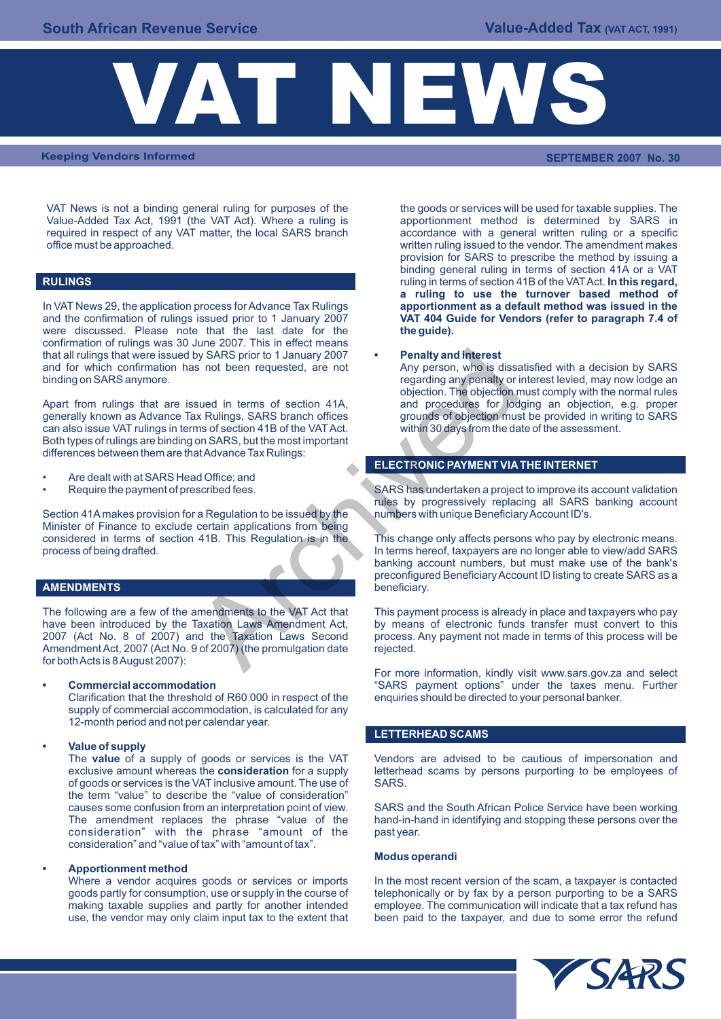

**Keeping Vendors Informed SEPTEMBER 2007 No. 30**

VAT News is not a binding general ruling for purposes of the the goods or services will be used for taxable supplies. The VAT Act). Where a ruling is apportionment method is determined by SARS in Value-Added Tax Act, 1991 (the VAT Act). Where a ruling is required in respect of any VAT matter, the local SARS branch accordance with a general written ruling or a specific<br>office must be approached. Written ruling issued to the vendor. The amendment makes

## **RULINGS**

In VAT News 29, the application process for Advance Tax Rulings and the confirmation of rulings issued prior to 1 January 2007 **VAT 404 Guide for Vendors (refer to paragraph 7.4 of**  were discussed. Please note that the last date for the confirmation of rulings was 30 June 2007. This in effect means that all rulings that were issued by SARS prior to 1 January 2007 **• Penalty and interest** and for which confirmation has not been requested, are not binding on SARS anymore.

Apart from rulings that are issued in terms of section 41A, and procedures for lodging an objection, e.g. proper generally known as Advance Tax Rulings, SARS branch offices grounds of objection must be provided in writing generally known as Advance Tax Rulings, SARS branch offices grounds of objection must be provided in writing can also issue VAT rulings in terms of section 41B of the VAT Act. can also issue VAT rulings in terms of section 41B of the VAT Act. Both types of rulings are binding on SARS, but the most important differences between them are that Advance Tax Rulings:

- Are dealt with at SARS Head Office; and
- 

Section 41A makes provision for a Regulation to be issued by the numbers with unique Beneficiary Account ID's. Minister of Finance to exclude certain applications from being considered in terms of section 41B. This Regulation is in the This change only affects persons who pay by electronic means.<br>In terms hereof, taxpayers are no longer able to view/add SARS

## **AMENDMENTS**

have been introduced by the Taxation Laws Amendment Act, by means of electronic funds transfer must convert to this 2007 (Act No. 8 of 2007) and the Taxation Laws Second process. Any payment not made in terms of this proce 2007 (Act No. 8 of 2007) and the Taxation Laws Second Amendment Act, 2007 (Act No. 9 of 2007) (the promulgation date rejected. for both Acts is 8 August 2007): by SARS prior to 1 January 2007<br>
are negating any penalty and interest<br>
solve been requested, are not<br>
are negating any penalty or<br>
sured in terms of section 41A,<br>
and procedures for local<br>
muscless SARS branch offices<br>
ar

Clarification that the threshold of R60 000 in respect of the supply of commercial accommodation, is calculated for any 12-month period and not per calendar year.

## **• Value of supply**

of goods or services is the VAT inclusive amount. The use of the term "value" to describe the "value of consideration" consideration" with the phrase "amount of the past year. consideration" and "value of tax" with "amount of tax".

Apportionment method<br>Where a vendor acquires goods or services or imports use, the vendor may only claim input tax to the extent that written ruling issued to the vendor. The amendment makes provision for SARS to prescribe the method by issuing a binding general ruling in terms of section 41A or a VAT ruling in terms of section 41B of the VAT Act. **In this regard, a ruling to use the turnover based method of** 

regarding any penalty or interest levied, may now lodge an objection. The objection must comply with the normal rules<br>and procedures for lodging an objection, e.g. proper

## **ELECTRONIC PAYMENT VIA THE INTERNET**

• Require the payment of prescribed fees. SARS has undertaken a project to improve its account validation rules by progressively replacing all SARS banking account

> In terms hereof, taxpayers are no longer able to view/add SARS banking account numbers, but must make use of the bank's preconfigured Beneficiary Account ID listing to create SARS as a beneficiary.

The following are a few of the amendments to the VAT Act that This payment process is already in place and taxpayers who pay have been introduced by the Taxation Laws Amendment Act, by means of electronic funds transfer mu

For more information, kindly visit www.sars.gov.za and select **Commercial accommodation** "SARS payment options" under the taxes menu. Further<br>Clarification that the threshold of R60 000 in respect of the enquiries should be directed to your personal banker.

## **LETTERHEAD SCAMS**

The **value** of a supply of goods or services is the VAT Vendors are advised to be cautious of impersonation and exclusive amount whereas the **consideration** for a supply letterhead scams by persons purporting to be employees of of aoods or services is the VAT inclusive amount. The use of SARS.

causes some confusion from an interpretation point of view. SARS and the South African Police Service have been working<br>The amendment replaces the phrase "value of the hand-in-hand in identifying and stopping these persons hand-in-hand in identifying and stopping these persons over the

### **Modus operandi**

Where a vendor acquires goods or services or imports In the most recent version of the scam, a taxpayer is contacted goods partly for consumption, use or supply in the course of telephonically or by fax by a person purport goods partly for consumption, use or supply in the course of telephonically or by fax by a person purporting to be a SARS making taxable supplies and partly for another intended employee. The communication will indicate th employee. The communication will indicate that a tax refund has<br>been paid to the taxpayer, and due to some error the refund